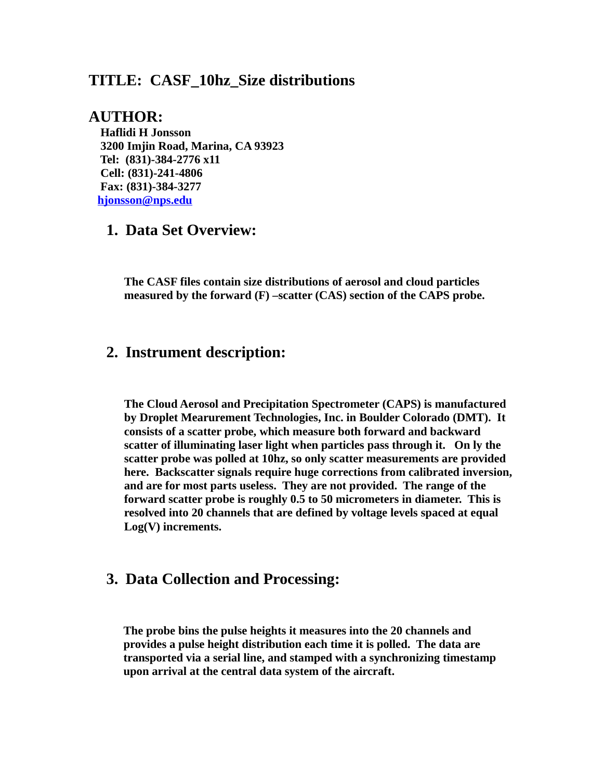## **TITLE: CASF\_10hz\_Size distributions**

#### **AUTHOR:**

 **Haflidi H Jonsson 3200 Imjin Road, Marina, CA 93923 Tel: (831)-384-2776 x11 Cell: (831)-241-4806 Fax: (831)-384-3277 [hjonsson@nps.edu](mailto:hjonsson@nps.edu)**

## **1. Data Set Overview:**

**The CASF files contain size distributions of aerosol and cloud particles measured by the forward (F) –scatter (CAS) section of the CAPS probe.** 

## **2. Instrument description:**

**The Cloud Aerosol and Precipitation Spectrometer (CAPS) is manufactured by Droplet Mearurement Technologies, Inc. in Boulder Colorado (DMT). It consists of a scatter probe, which measure both forward and backward scatter of illuminating laser light when particles pass through it. On ly the scatter probe was polled at 10hz, so only scatter measurements are provided here. Backscatter signals require huge corrections from calibrated inversion, and are for most parts useless. They are not provided. The range of the forward scatter probe is roughly 0.5 to 50 micrometers in diameter. This is resolved into 20 channels that are defined by voltage levels spaced at equal Log(V) increments.**

## **3. Data Collection and Processing:**

**The probe bins the pulse heights it measures into the 20 channels and provides a pulse height distribution each time it is polled. The data are transported via a serial line, and stamped with a synchronizing timestamp upon arrival at the central data system of the aircraft.**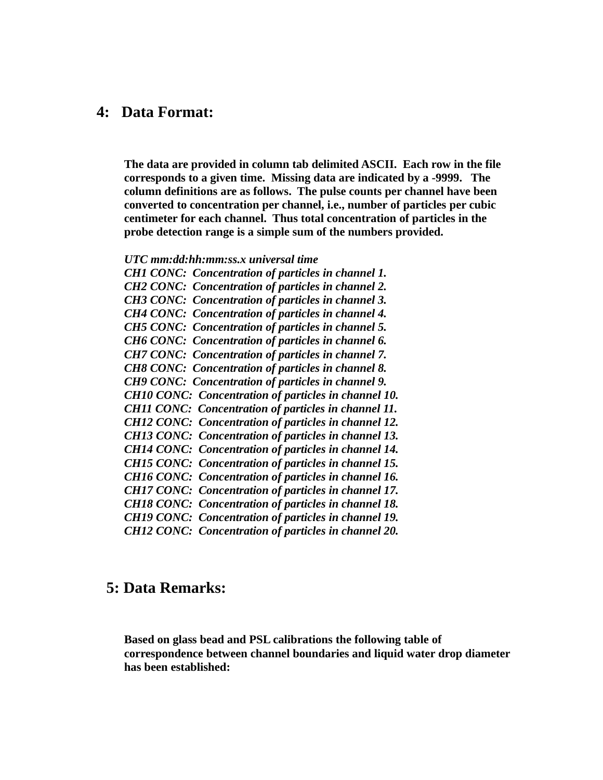#### **4: Data Format:**

**The data are provided in column tab delimited ASCII. Each row in the file corresponds to a given time. Missing data are indicated by a -9999. The column definitions are as follows. The pulse counts per channel have been converted to concentration per channel, i.e., number of particles per cubic centimeter for each channel. Thus total concentration of particles in the probe detection range is a simple sum of the numbers provided.**

*UTC mm:dd:hh:mm:ss.x universal time*

*CH1 CONC: Concentration of particles in channel 1. CH2 CONC: Concentration of particles in channel 2. CH3 CONC: Concentration of particles in channel 3. CH4 CONC: Concentration of particles in channel 4. CH5 CONC: Concentration of particles in channel 5. CH6 CONC: Concentration of particles in channel 6. CH7 CONC: Concentration of particles in channel 7. CH8 CONC: Concentration of particles in channel 8. CH9 CONC: Concentration of particles in channel 9. CH10 CONC: Concentration of particles in channel 10. CH11 CONC: Concentration of particles in channel 11. CH12 CONC: Concentration of particles in channel 12. CH13 CONC: Concentration of particles in channel 13. CH14 CONC: Concentration of particles in channel 14. CH15 CONC: Concentration of particles in channel 15. CH16 CONC: Concentration of particles in channel 16. CH17 CONC: Concentration of particles in channel 17. CH18 CONC: Concentration of particles in channel 18. CH19 CONC: Concentration of particles in channel 19. CH12 CONC: Concentration of particles in channel 20.* 

# **5: Data Remarks:**

**Based on glass bead and PSL calibrations the following table of correspondence between channel boundaries and liquid water drop diameter has been established:**